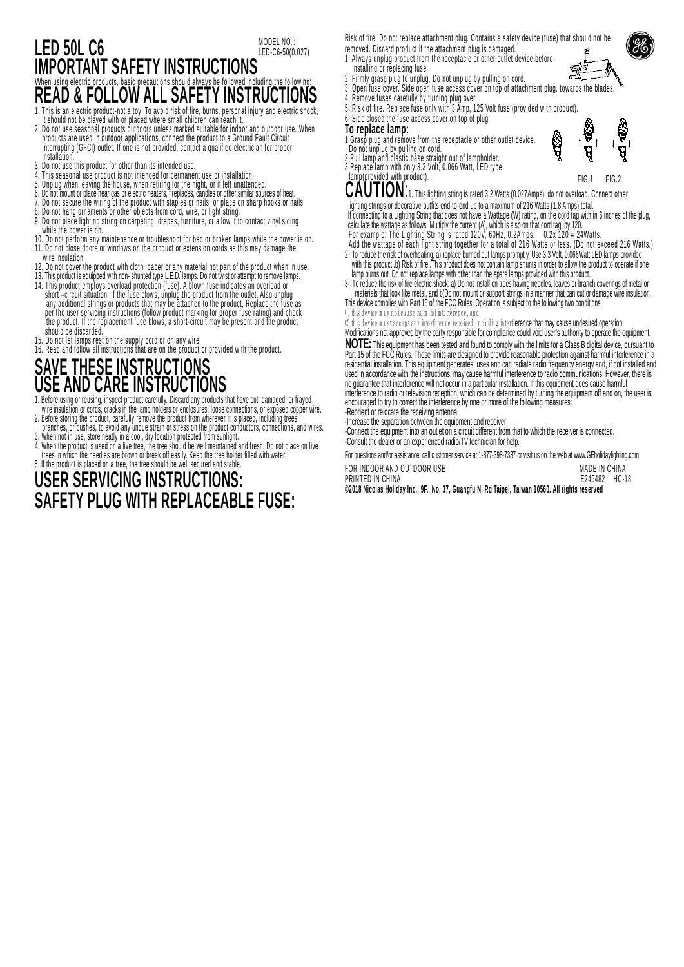#### **LED 50L C6 IMPORTANT SAFETY INSTRUCTIONS**<br>When using electric products, basic precautions should always be followed including the following When using electric products, basic precautions should always be followed including the following: **READ & FOLLOW ALL SAFETY INSTRUCTIONS** MODEL NO.: LED-C6-50(0.027)

- 1. This is an electric product-not a toy! To avoid risk of fire, burns, personal injury and electric shock, it should not be played with or placed where small children can reach it.
- 2. Do not use seasonal products outdoors unless marked suitable for indoor and outdoor use. When products are used in outdoor applications, connect the product to a Ground Fault Circuit Interrupting (GFCI) outlet. If one is not provided, contact a qualified electrician for proper installation.
- 3. Do not use this product for other than its intended use.
- 4. This seasonal use product is not intended for permanent use or installation. 5. Unplug when leaving the house, when retiring for the night, or if left unattended.
- 
- 6. Do not mount or place near gas or electric heaters, fireplaces, candles or other similar sources of heat.
- 7. Do not secure the wiring or the product with staples or nails, or place on snarp nooks or nails.<br>8. Do not hang ornaments or other objects from cord, wire, or light string.
- 9. Do not place lighting string on carpeting, drapes, furniture, or allow it to contact vinyl siding while the power is on.
- 10. Do not perform any maintenance or troubleshoot for bad or broken lamps while the power is on. 11. Do not close doors or windows on the product or extension cords as this may damage the wire insulation.
- 12. Do not cover the product with cloth, paper or any material not part of the product when in use.
- 13. This product is equipped with non- shunted type L.E.D. lamps. Do not twist or attempt to remove lamps. 14. This product employs overload protection (fuse). A blown fuse indicates an overload or short –circuit situation. If the fuse blows, unplug the product from the outlet. Also unplug any additional strings or products that may be attached to the product, Replace the fuse as per the user servicing instructions (follow product marking for proper fuse rating) and check

the product. If the replacement fuse blows, a short-circuit may be present and the product should be discarded.

- 
- 15. Do not let lamps rest on the supply cord or on any wire.<br>16. Read and follow all instructions that are on the product or provided with the product.

# **SAVE THESE INSTRUCTIONS USE AND CARE INSTRUCTIONS**

- 1. Before using or reusing, inspect product carefully. Discard any products that have cut, damaged, or frayed wire insulation or cords, cracks in the lamp holders or enclosures, loose connections, or exposed copper wire.
- 2. Before storing the product, carefully remove the product from wherever it is placed, including trees, branches, or bushes, to avoid any undue strain or stress on the product conductors, connections, and wires.<br>3. When not in use, store neatly in a cool, dry location protected from sunlight.
- 4. When the product is used on a live tree, the tree should be well maintained and fresh. Do not place on live<br>trees in which the needles are brown or break off easily. Keep the tree holder filled with water.

#### 5. lf the product is placed on a tree, the tree should be well secured and stable. **USER SERVICING INSTRUCTIONS: SAFETY PLUG WITH REPLACEABLE FUSE:**

- Risk of fire. Do not replace attachment plug. Contains a safety device (fuse) that should not be removed. Discard product if the attachment plug is damaged.
- 1. Always unplug product from the receptacle or other outlet device before installing or replacing fuse.
- 2. Firmly grasp plug to unplug. Do not unplug by pulling on cord.
- 3. Open fuse cover. Side open fuse access cover on top of attachment plug. towards the blades.
- 4. Remove fuses carefully by turning plug over.
- 5. Risk of fire. Replace fuse only with 3 Amp, 125 Volt fuse (provided with product).
- 6. Side closed the fuse access cover on top of plug.

- **To replace lamp:** 1.Grasp plug and remove from the receptacle or other outlet device. Do not unplug by pulling on cord. 2.Pull lamp and plastic base straight out of lampholder.
- 
- 3.Replace lamp with only 3.3 Volt, 0.066 Watt, LED type lamp(provided with product).

offi

FIG.1 FIG.2<br>**CAUTION:**1. This lighting string is rated 3.2 Watts (0.027Amps), do not overload. Connect other lighting strings or decorative outfits end-to-end up to a maximum of 216 Watts (1.8 Amps) total.

If connecting to a Lighting String that does not have a Wattage (W) rating, on the cord tag with in 6 inches of the plug,

- calculate the wattage as follows: Multiply the current (A), which is also on that cord tag, by 120.<br>For example: The Lighting String is rated 120V, 60Hz, 0.2Amps. 0.2x 120 = 24Watts.
- Add the wattage of each light string together for a total of 216 Watts or less. (Do not exceed 216 Watts.) 2. To reduce the risk of overheating, a) replace burned out lamps promptly. Use 3.3 Volt, 0.066Watt LED lamps provided with this product .b) Risk of fire .This product does not contain lamp shunts in order to allow the product to operate if one

lamp burns out. Do not replace lamps with other than the spare lamps provided with this product. 3. To reduce the risk of fire electric shock: a) Do not install on trees having needles, leaves or branch coverings of metal or materials that look like metal, and b)Do not mount or support strings in a manner that can cut or damage wire insulation. This device complies with Part 15 of the FCC Rules. Operation is subject to the following two conditions:

(1) this device m ay not cause harm ful interference, and

(2) this device in ust acceptany interference received, including interference that may cause undesired operation.

Modifications not approved by the party responsible for compliance could void user's authority to operate the equipment. **NOTE:** This equipment has been tested and found to comply with the limits for a Class B digital device, pursuant to Part 15 of the FCC Rules. These limits are designed to provide reasonable protection against harmful interference in a residential installation. This equipment generates, uses and can radiate radio frequency energy and, if not installed and

used in accordance with the instructions, may cause harmful interference to radio communications. However, there is no quarantee that interference will not occur in a particular installation. If this equipment does cause h interference to radio or television reception, which can be determined by turning the equipment off and on, the user is encouraged to try to correct the interference by one or more of the following measures:

-Reorient or relocate the receiving antenna.

-Increase the separation between the equipment and receiver.

-Connect the equipment into an outlet on a circuit different from that to which the receiver is connected. -Consult the dealer or an experienced radio/TV technician for help.

For questions and/or assistance, call customer service at 1-877-398-7337 or visit us on the web at [www.GEholidaylighting.com](http://www.geholidaylighting.com/)

|                            |          |  |   |   |               | . |  |
|----------------------------|----------|--|---|---|---------------|---|--|
| FOR INDOOR AND OUTDOOR USE |          |  |   |   | MADE IN CHINA |   |  |
| PRINTED IN CHINA           |          |  |   |   | E246482 HC-18 |   |  |
|                            | $     -$ |  | . | . |               |   |  |

**©2018 Nicolas Holiday Inc., 9F., No. 37, Guangfu N. Rd Taipei, Taiwan 10560. All rights reserved**